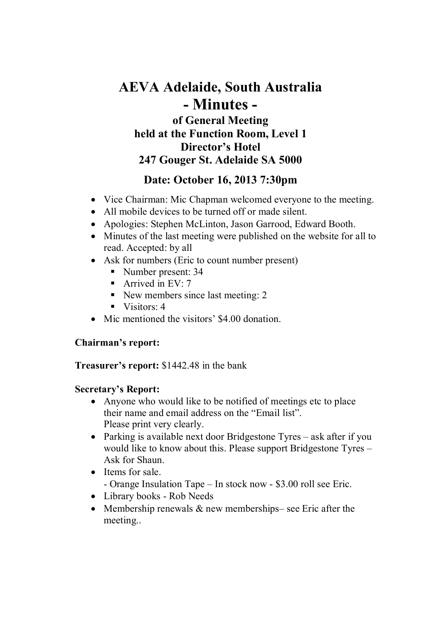# AEVA Adelaide, South Australia - Minutes of General Meeting held at the Function Room, Level 1 Director's Hotel 247 Gouger St. Adelaide SA 5000

## Date: October 16, 2013 7:30pm

- Vice Chairman: Mic Chapman welcomed everyone to the meeting.
- All mobile devices to be turned off or made silent.
- Apologies: Stephen McLinton, Jason Garrood, Edward Booth.
- Minutes of the last meeting were published on the website for all to read. Accepted: by all
- Ask for numbers (Eric to count number present)
	- Number present: 34
	- Arrived in  $EV: 7$
	- New members since last meeting: 2
	- $\blacksquare$  Visitors: 4
- Mic mentioned the visitors' \$4.00 donation.

## Chairman's report:

## Treasurer's report: \$1442.48 in the bank

## Secretary's Report:

- Anyone who would like to be notified of meetings etc to place their name and email address on the "Email list". Please print very clearly.
- Parking is available next door Bridgestone Tyres ask after if you would like to know about this. Please support Bridgestone Tyres – Ask for Shaun.
- Items for sale. - Orange Insulation Tape – In stock now - \$3.00 roll see Eric.
- Library books Rob Needs
- Membership renewals & new memberships– see Eric after the meeting..